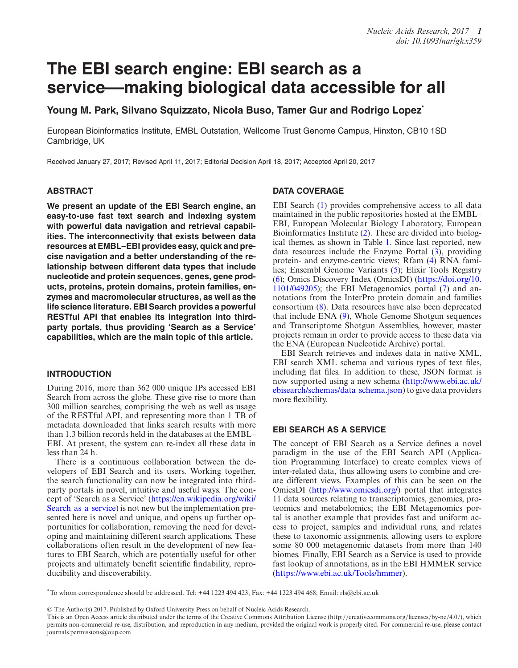# **The EBI search engine: EBI search as a service––making biological data accessible for all**

**Young M. Park, Silvano Squizzato, Nicola Buso, Tamer Gur and Rodrigo Lopez\***

European Bioinformatics Institute, EMBL Outstation, Wellcome Trust Genome Campus, Hinxton, CB10 1SD Cambridge, UK

Received January 27, 2017; Revised April 11, 2017; Editorial Decision April 18, 2017; Accepted April 20, 2017

#### **ABSTRACT**

**We present an update of the EBI Search engine, an easy-to-use fast text search and indexing system with powerful data navigation and retrieval capabilities. The interconnectivity that exists between data resources at EMBL–EBI provides easy, quick and precise navigation and a better understanding of the relationship between different data types that include nucleotide and protein sequences, genes, gene products, proteins, protein domains, protein families, enzymes and macromolecular structures, as well as the life science literature. EBI Search provides a powerful RESTful API that enables its integration into thirdparty portals, thus providing 'Search as a Service' capabilities, which are the main topic of this article.**

## **INTRODUCTION**

During 2016, more than 362 000 unique IPs accessed EBI Search from across the globe. These give rise to more than 300 million searches, comprising the web as well as usage of the RESTful API, and representing more than 1 TB of metadata downloaded that links search results with more than 1.3 billion records held in the databases at the EMBL– EBI. At present, the system can re-index all these data in less than 24 h.

There is a continuous collaboration between the developers of EBI Search and its users. Working together, the search functionality can now be integrated into thirdparty portals in novel, intuitive and useful ways. The con[cept of 'Search as a Service' \(https://en.wikipedia.org/wiki/](https://en.wikipedia.org/wiki/Search_as_a_service) Search as a service) is not new but the implementation presented here is novel and unique, and opens up further opportunities for collaboration, removing the need for developing and maintaining different search applications. These collaborations often result in the development of new features to EBI Search, which are potentially useful for other projects and ultimately benefit scientific findability, reproducibility and discoverability.

## **DATA COVERAGE**

EBI Search [\(1\)](#page-3-0) provides comprehensive access to all data maintained in the public repositories hosted at the EMBL– EBI, European Molecular Biology Laboratory, European Bioinformatics Institute [\(2\)](#page-3-0). These are divided into biological themes, as shown in Table [1.](#page-1-0) Since last reported, new data resources include the Enzyme Portal [\(3\)](#page-3-0), providing protein- and enzyme-centric views; Rfam [\(4\)](#page-3-0) RNA families; Ensembl Genome Variants [\(5\)](#page-3-0); Elixir Tools Registry [\(6\)](#page-3-0); Omics Discovery Index (OmicsDI) (https://doi.org/10. [1101/049205\); the EBI Metagenomics portal \(7\) and an](https://doi.org/10.1101/049205)notations from the InterPro protein domain and families consortium [\(8\)](#page-3-0). Data resources have also been deprecated that include ENA [\(9\)](#page-3-0), Whole Genome Shotgun sequences and Transcriptome Shotgun Assemblies, however, master projects remain in order to provide access to these data via the ENA (European Nucleotide Archive) portal.

EBI Search retrieves and indexes data in native XML, EBI search XML schema and various types of text files, including flat files. In addition to these, JSON format is [now supported using a new schema \(http://www.ebi.ac.uk/](http://www.ebi.ac.uk/ebisearch/schemas/data_schema.json) ebisearch/schemas/data schema.json) to give data providers more flexibility.

## **EBI SEARCH AS A SERVICE**

The concept of EBI Search as a Service defines a novel paradigm in the use of the EBI Search API (Application Programming Interface) to create complex views of inter-related data, thus allowing users to combine and create different views. Examples of this can be seen on the OmicsDI [\(http://www.omicsdi.org/\)](http://www.omicsdi.org/) portal that integrates 11 data sources relating to transcriptomics, genomics, proteomics and metabolomics; the EBI Metagenomics portal is another example that provides fast and uniform access to project, samples and individual runs, and relates these to taxonomic assignments, allowing users to explore some 80 000 metagenomic datasets from more than 140 biomes. Finally, EBI Search as a Service is used to provide fast lookup of annotations, as in the EBI HMMER service [\(https://www.ebi.ac.uk/Tools/hmmer\)](https://www.ebi.ac.uk/Tools/hmmer).

<sup>\*</sup>To whom correspondence should be addressed. Tel: +44 1223 494 423; Fax: +44 1223 494 468; Email: rls@ebi.ac.uk

<sup>©</sup> The Author(s) 2017. Published by Oxford University Press on behalf of Nucleic Acids Research.

This is an Open Access article distributed under the terms of the Creative Commons Attribution License (http://creativecommons.org/licenses/by-nc/4.0/), which permits non-commercial re-use, distribution, and reproduction in any medium, provided the original work is properly cited. For commercial re-use, please contact journals.permissions@oup.com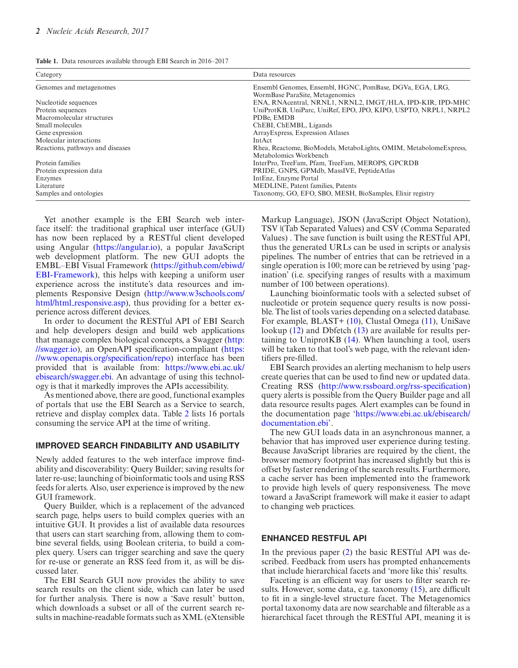<span id="page-1-0"></span>

| Category                         | Data resources                                                    |  |
|----------------------------------|-------------------------------------------------------------------|--|
| Genomes and metagenomes          | Ensembl Genomes, Ensembl, HGNC, PomBase, DGVa, EGA, LRG,          |  |
|                                  | WormBase ParaSite, Metagenomics                                   |  |
| Nucleotide sequences             | ENA, RNAcentral, NRNL1, NRNL2, IMGT/HLA, IPD-KIR, IPD-MHC         |  |
| Protein sequences                | UniProtKB, UniParc, UniRef, EPO, JPO, KIPO, USPTO, NRPL1, NRPL2   |  |
| Macromolecular structures        | PDBe, EMDB                                                        |  |
| Small molecules                  | ChEBI, ChEMBL, Ligands                                            |  |
| Gene expression                  | Array Express, Expression Atlases                                 |  |
| Molecular interactions           | <b>IntAct</b>                                                     |  |
| Reactions, pathways and diseases | Rhea, Reactome, BioModels, MetaboLights, OMIM, MetabolomeExpress, |  |
|                                  | Metabolomics Workbench                                            |  |
| Protein families                 | InterPro, TreeFam, Pfam, TreeFam, MEROPS, GPCRDB                  |  |
| Protein expression data          | PRIDE, GNPS, GPMdb, MassIVE, PeptideAtlas                         |  |
| Enzymes                          | IntEnz, Enzyme Portal                                             |  |
| Literature                       | MEDLINE, Patent families, Patents                                 |  |
| Samples and ontologies           | Taxonomy, GO, EFO, SBO, MESH, BioSamples, Elixir registry         |  |

Yet another example is the EBI Search web interface itself: the traditional graphical user interface (GUI) has now been replaced by a RESTful client developed using Angular [\(https://angular.io\)](https://angular.io), a popular JavaScript web development platform. The new GUI adopts the EMBL–EBI Visual Framework (https://github.com/ebiwd/ [EBI-Framework\), this helps with keeping a uniform user](https://github.com/ebiwd/EBI-Framework) experience across the institute's data resources and im[plements Responsive Design \(http://www.w3schools.com/](http://www.w3schools.com/html/html_responsive.asp) html/html\_responsive.asp), thus providing for a better experience across different devices.

In order to document the RESTful API of EBI Search and help developers design and build web applications [that manage complex biological concepts, a Swagger \(http:](http://swagger.io) [//swagger.io\), an OpenAPI specification-compliant \(https:](https://www.openapis.org/specification/repo) //www.openapis.org/specification/repo) interface has been provided that is available from: https://www.ebi.ac.uk/ [ebisearch/swagger.ebi. An advantage of using this technol](https://www.ebi.ac.uk/ebisearch/swagger.ebi)ogy is that it markedly improves the APIs accessibility.

As mentioned above, there are good, functional examples of portals that use the EBI Search as a Service to search, retrieve and display complex data. Table [2](#page-2-0) lists 16 portals consuming the service API at the time of writing.

#### **IMPROVED SEARCH FINDABILITY AND USABILITY**

Newly added features to the web interface improve findability and discoverability: Query Builder; saving results for later re-use; launching of bioinformatic tools and using RSS feeds for alerts. Also, user experience is improved by the new GUI framework.

Query Builder, which is a replacement of the advanced search page, helps users to build complex queries with an intuitive GUI. It provides a list of available data resources that users can start searching from, allowing them to combine several fields, using Boolean criteria, to build a complex query. Users can trigger searching and save the query for re-use or generate an RSS feed from it, as will be discussed later.

The EBI Search GUI now provides the ability to save search results on the client side, which can later be used for further analysis. There is now a 'Save result' button, which downloads a subset or all of the current search results in machine-readable formats such as XML (eXtensible

Markup Language), JSON (JavaScript Object Notation), TSV |(Tab Separated Values) and CSV (Comma Separated Values) . The save function is built using the RESTful API, thus the generated URLs can be used in scripts or analysis pipelines. The number of entries that can be retrieved in a single operation is 100; more can be retrieved by using 'pagination' (i.e. specifying ranges of results with a maximum number of 100 between operations).

Launching bioinformatic tools with a selected subset of nucleotide or protein sequence query results is now possible. The list of tools varies depending on a selected database. For example, BLAST+ [\(10\)](#page-3-0), Clustal Omega [\(11\)](#page-3-0), UniSave lookup [\(12\)](#page-3-0) and Dbfetch [\(13\)](#page-4-0) are available for results pertaining to UniprotKB [\(14\)](#page-4-0). When launching a tool, users will be taken to that tool's web page, with the relevant identifiers pre-filled.

EBI Search provides an alerting mechanism to help users create queries that can be used to find new or updated data. Creating RSS [\(http://www.rssboard.org/rss-specification\)](http://www.rssboard.org/rss-specification) query alerts is possible from the Query Builder page and all data resource results pages. Alert examples can be found in [the documentation page 'https://www.ebi.ac.uk/ebisearch/](https://www.ebi.ac.uk/ebisearch/documentation.ebi) documentation.ebi'.

The new GUI loads data in an asynchronous manner, a behavior that has improved user experience during testing. Because JavaScript libraries are required by the client, the browser memory footprint has increased slightly but this is offset by faster rendering of the search results. Furthermore, a cache server has been implemented into the framework to provide high levels of query responsiveness. The move toward a JavaScript framework will make it easier to adapt to changing web practices.

#### **ENHANCED RESTFUL API**

In the previous paper [\(2\)](#page-3-0) the basic RESTful API was described. Feedback from users has prompted enhancements that include hierarchical facets and 'more like this' results.

Faceting is an efficient way for users to filter search results. However, some data, e.g. taxonomy [\(15\)](#page-4-0), are difficult to fit in a single-level structure facet. The Metagenomics portal taxonomy data are now searchable and filterable as a hierarchical facet through the RESTful API, meaning it is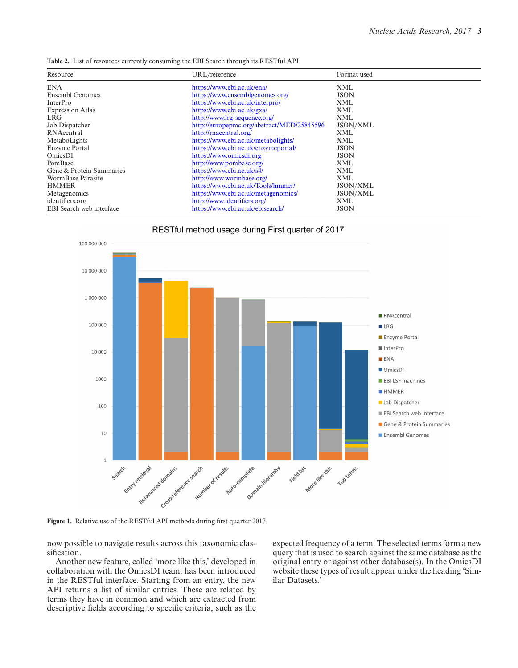<span id="page-2-0"></span>**Table 2.** List of resources currently consuming the EBI Search through its RESTful API

| Resource                 | URL/reference                              | Format used |
|--------------------------|--------------------------------------------|-------------|
| <b>ENA</b>               | https://www.ebi.ac.uk/ena/                 | XML         |
| Ensembl Genomes          | https://www.ensemblgenomes.org/            | <b>JSON</b> |
| InterPro                 | https://www.ebi.ac.uk/interpro/            | XML         |
| <b>Expression Atlas</b>  | https://www.ebi.ac.uk/gxa/                 | <b>XML</b>  |
| LRG.                     | http://www.lrg-sequence.org/               | XML         |
| Job Dispatcher           | http://europepmc.org/abstract/MED/25845596 | JSON/XML    |
| RNAcentral               | http://rnacentral.org/                     | XML         |
| MetaboLights             | https://www.ebi.ac.uk/metabolights/        | XML         |
| Enzyme Portal            | https://www.ebi.ac.uk/enzymeportal/        | <b>JSON</b> |
| OmicsDI                  | https://www.omicsdi.org                    | <b>JSON</b> |
| PomBase                  | http://www.pombase.org/                    | XML         |
| Gene & Protein Summaries | https://www.ebi.ac.uk/s4/                  | <b>XML</b>  |
| WormBase Parasite        | http://www.wormbase.org/                   | <b>XML</b>  |
| <b>HMMER</b>             | https://www.ebi.ac.uk/Tools/hmmer/         | JSON/XML    |
| Metagenomics             | https://www.ebi.ac.uk/metagenomics/        | JSON/XML    |
| identifiers.org          | http://www.identifiers.org/                | XML         |
| EBI Search web interface | https://www.ebi.ac.uk/ebisearch/           | <b>JSON</b> |



RESTful method usage during First quarter of 2017

**Figure 1.** Relative use of the RESTful API methods during first quarter 2017.

now possible to navigate results across this taxonomic classification.

Another new feature, called 'more like this,' developed in collaboration with the OmicsDI team, has been introduced in the RESTful interface. Starting from an entry, the new API returns a list of similar entries. These are related by terms they have in common and which are extracted from descriptive fields according to specific criteria, such as the expected frequency of a term. The selected terms form a new query that is used to search against the same database as the original entry or against other database(s). In the OmicsDI website these types of result appear under the heading 'Similar Datasets.'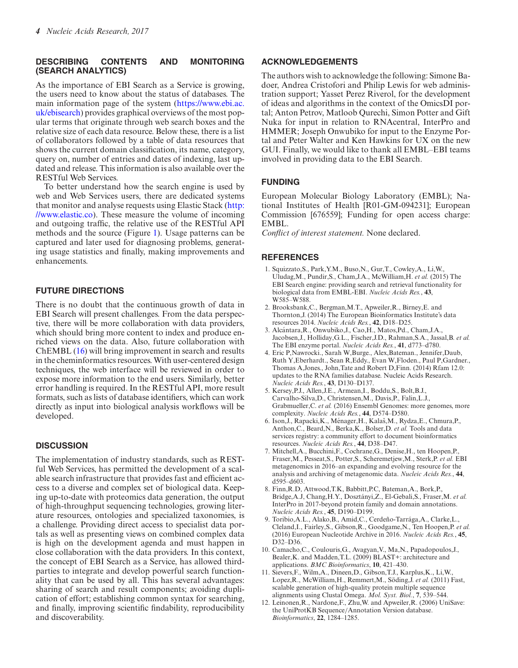### <span id="page-3-0"></span>**DESCRIBING CONTENTS AND MONITORING (SEARCH ANALYTICS)**

As the importance of EBI Search as a Service is growing, the users need to know about the status of databases. The [main information page of the system \(https://www.ebi.ac.](https://www.ebi.ac.uk/ebisearch) uk/ebisearch) provides graphical overviews of the most popular terms that originate through web search boxes and the relative size of each data resource. Below these, there is a list of collaborators followed by a table of data resources that shows the current domain classification, its name, category, query on, number of entries and dates of indexing, last updated and release. This information is also available over the RESTful Web Services.

To better understand how the search engine is used by web and Web Services users, there are dedicated systems [that monitor and analyse requests using Elastic Stack \(http:](http://www.elastic.co) //www.elastic.co). These measure the volume of incoming and outgoing traffic, the relative use of the RESTful API methods and the source (Figure [1\)](#page-2-0). Usage patterns can be captured and later used for diagnosing problems, generating usage statistics and finally, making improvements and enhancements.

## **FUTURE DIRECTIONS**

There is no doubt that the continuous growth of data in EBI Search will present challenges. From the data perspective, there will be more collaboration with data providers, which should bring more content to index and produce enriched views on the data. Also, future collaboration with ChEMBL [\(16\)](#page-4-0) will bring improvement in search and results in the cheminformatics resources. With user-centered design techniques, the web interface will be reviewed in order to expose more information to the end users. Similarly, better error handling is required. In the RESTful API, more result formats, such as lists of database identifiers, which can work directly as input into biological analysis workflows will be developed.

## **DISCUSSION**

The implementation of industry standards, such as RESTful Web Services, has permitted the development of a scalable search infrastructure that provides fast and efficient access to a diverse and complex set of biological data. Keeping up-to-date with proteomics data generation, the output of high-throughput sequencing technologies, growing literature resources, ontologies and specialized taxonomies, is a challenge. Providing direct access to specialist data portals as well as presenting views on combined complex data is high on the development agenda and must happen in close collaboration with the data providers. In this context, the concept of EBI Search as a Service, has allowed thirdparties to integrate and develop powerful search functionality that can be used by all. This has several advantages: sharing of search and result components; avoiding duplication of effort; establishing common syntax for searching, and finally, improving scientific findability, reproducibility and discoverability.

#### **ACKNOWLEDGEMENTS**

The authors wish to acknowledge the following: Simone Badoer, Andrea Cristofori and Philip Lewis for web administration support; Yasset Perez Riverol, for the development of ideas and algorithms in the context of the OmicsDI portal; Anton Petrov, Matloob Qurechi, Simon Potter and Gift Nuka for input in relation to RNAcentral, InterPro and HMMER; Joseph Onwubiko for input to the Enzyme Portal and Peter Walter and Ken Hawkins for UX on the new GUI. Finally, we would like to thank all EMBL–EBI teams involved in providing data to the EBI Search.

#### **FUNDING**

European Molecular Biology Laboratory (EMBL); National Institutes of Health [R01-GM-094231]; European Commission [676559]; Funding for open access charge: EMBL.

*Conflict of interest statement.* None declared.

#### **REFERENCES**

- 1. Squizzato,S., Park,Y.M., Buso,N., Gur,T., Cowley,A., Li,W., Uludag,M., Pundir,S., Cham,J.A., McWilliam,H. *et al.* (2015) The EBI Search engine: providing search and retrieval functionality for biological data from EMBL-EBI. *Nucleic Acids Res.*, **43**, W585–W588.
- 2. Brooksbank,C., Bergman,M.T., Apweiler,R., Birney,E. and Thornton,J. (2014) The European Bioinformatics Institute's data resources 2014. *Nucleic Acids Res.*, **42**, D18–D25.
- 3. Alcantara,R., Onwubiko,J., Cao,H., Matos,Pd., Cham,J.A., ´ Jacobsen,J., Holliday,G.L., Fischer,J.D., Rahman,S.A., Jassal,B. *et al.* The EBI enzyme portal. *Nucleic Acids Res.*, **41**, d773–d780.
- 4. Eric P,Nawrocki., Sarah W,Burge., Alex,Bateman., Jennifer,Daub, Ruth Y,Eberhardt., Sean R,Eddy., Evan W,Floden., Paul P,Gardner., Thomas A,Jones., John,Tate and Robert D,Finn. (2014) Rfam 12.0: updates to the RNA families database. Nucleic Acids Research. *Nucleic Acids Res.*, **43**, D130–D137.
- 5. Kersey,P.J., Allen,J.E., Armean,I., Boddu,S., Bolt,B.J., Carvalho-Silva,D., Christensen,M., Davis,P., Falin,L.J., Grabmueller,C. *et al.* (2016) Ensembl Genomes: more genomes, more complexity. *Nucleic Acids Res.*, **44**, D574–D580.
- 6. Ison, J., Rapacki, K., Ménager, H., Kalaš, M., Rydza, E., Chmura, P., Anthon,C., Beard,N., Berka,K., Bolser,D. *et al.* Tools and data services registry: a community effort to document bioinformatics resources. *Nucleic Acids Res.*, **44**, D38–D47.
- 7. Mitchell,A., Bucchini,F., Cochrane,G., Denise,H., ten Hoopen,P., Fraser,M., Pesseat,S., Potter,S., Scheremetjew,M., Sterk,P. *et al.* EBI metagenomics in 2016–an expanding and evolving resource for the analysis and archiving of metagenomic data. *Nucleic Acids Res.*, **44**, d595–d603.
- 8. Finn,R.D, Attwood,T.K, Babbitt,P.C, Bateman,A., Bork,P., Bridge, A.J, Chang, H.Y., Dosztányi, Z., El-Gebali, S., Fraser, M. et al. InterPro in 2017-beyond protein family and domain annotations. *Nucleic Acids Res.*, **45**, D190–D199.
- 9. Toribio, A.L., Alako, B., Amid, C., Cerdeño-Tarrága, A., Clarke, L., Cleland,I., Fairley,S., Gibson,R., Goodgame,N., Ten Hoopen,P. *et al.* (2016) European Nucleotide Archive in 2016. *Nucleic Acids Res.*, **45**, D32–D36.
- 10. Camacho,C., Coulouris,G., Avagyan,V., Ma,N., Papadopoulos,J., Bealer,K. and Madden,T.L. (2009) BLAST+: architecture and applications. *BMC Bioinformatics*, **10**, 421–430.
- 11. Sievers,F., Wilm,A., Dineen,D., Gibson,T.J., Karplus,K., Li,W., Lopez, R., McWilliam, H., Remmert, M., Söding, J. et al. (2011) Fast, scalable generation of high-quality protein multiple sequence alignments using Clustal Omega. *Mol. Syst. Biol.*, **7**, 539–544.
- 12. Leinonen,R., Nardone,F., Zhu,W. and Apweiler,R. (2006) UniSave: the UniProtKB Sequence/Annotation Version database. *Bioinformatics*, **22**, 1284–1285.